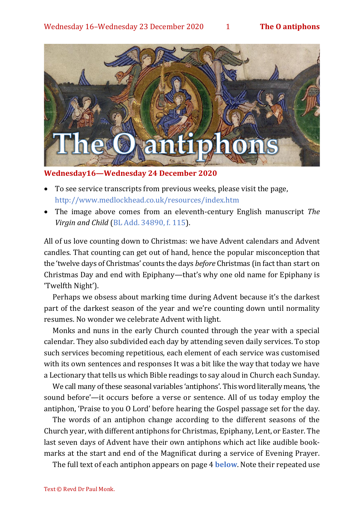

**Wednesday16—Wednesday 24 December 2020**

- To see service transcripts from previous weeks, please visit the page, <http://www.medlockhead.co.uk/resources/index.htm>
- The image above comes from an eleventh-century English manuscript *The Virgin and Child* [\(BL Add. 34890, f. 115\)](http://www.bl.uk/manuscripts/FullDisplay.aspx?ref=Add_MS_34890).

All of us love counting down to Christmas: we have Advent calendars and Advent candles. That counting can get out of hand, hence the popular misconception that the 'twelve days of Christmas' counts the days *before* Christmas (in fact than start on Christmas Day and end with Epiphany—that's why one old name for Epiphany is 'Twelfth Night').

Perhaps we obsess about marking time during Advent because it's the darkest part of the darkest season of the year and we're counting down until normality resumes. No wonder we celebrate Advent with light.

Monks and nuns in the early Church counted through the year with a special calendar. They also subdivided each day by attending seven daily services. To stop such services becoming repetitious, each element of each service was customised with its own sentences and responses It was a bit like the way that today we have a Lectionary that tells us which Bible readings to say aloud in Church each Sunday.

We call many of these seasonal variables 'antiphons'. This word literally means, 'the sound before'—it occurs before a verse or sentence. All of us today employ the antiphon, 'Praise to you O Lord' before hearing the Gospel passage set for the day.

The words of an antiphon change according to the different seasons of the Church year, with different antiphons for Christmas, Epiphany, Lent, or Easter. The last seven days of Advent have their own antiphons which act like audible bookmarks at the start and end of the Magnificat during a service of Evening Prayer.

The full text of each antiphon appears on page 4 **[below](#page-3-0)**. Note their repeated use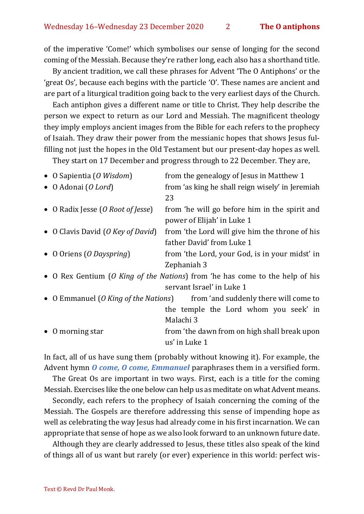of the imperative 'Come!' which symbolises our sense of longing for the second coming of the Messiah. Because they're rather long, each also has a shorthand title.

By ancient tradition, we call these phrases for Advent 'The O Antiphons' or the 'great Os', because each begins with the particle 'O'. These names are ancient and are part of a liturgical tradition going back to the very earliest days of the Church.

Each antiphon gives a different name or title to Christ. They help describe the person we expect to return as our Lord and Messiah. The magnificent theology they imply employs ancient images from the Bible for each refers to the prophecy of Isaiah. They draw their power from the messianic hopes that shows Jesus fulfilling not just the hopes in the Old Testament but our present-day hopes as well.

They start on 17 December and progress through to 22 December. They are,

| • O Sapientia (O Wisdom)             | from the genealogy of Jesus in Matthew 1                                     |
|--------------------------------------|------------------------------------------------------------------------------|
| $\bullet$ O Adonai (O Lord)          | from 'as king he shall reign wisely' in Jeremiah                             |
|                                      | 23                                                                           |
| • O Radix Jesse (O Root of Jesse)    | from 'he will go before him in the spirit and                                |
|                                      | power of Elijah' in Luke 1                                                   |
| • O Clavis David (O Key of David)    | from 'the Lord will give him the throne of his                               |
|                                      | father David' from Luke 1                                                    |
| • O Oriens (O Dayspring)             | from 'the Lord, your God, is in your midst' in                               |
|                                      | Zephaniah 3                                                                  |
|                                      | • O Rex Gentium (O King of the Nations) from 'he has come to the help of his |
|                                      | servant Israel' in Luke 1                                                    |
| • O Emmanuel (O King of the Nations) | from 'and suddenly there will come to                                        |
|                                      | the temple the Lord whom you seek' in                                        |
|                                      | Malachi 3                                                                    |
| • O morning star                     | from 'the dawn from on high shall break upon                                 |
|                                      | us' in Luke 1                                                                |

In fact, all of us have sung them (probably without knowing it). For example, the Advent hymn *[O come, O come, Emmanuel](#page-4-0)* paraphrases them in a versified form.

The Great Os are important in two ways. First, each is a title for the coming Messiah. Exercises like the one below can help us as meditate on what Advent means.

Secondly, each refers to the prophecy of Isaiah concerning the coming of the Messiah. The Gospels are therefore addressing this sense of impending hope as well as celebrating the way Jesus had already come in his first incarnation. We can appropriate that sense of hope as we also look forward to an unknown future date.

Although they are clearly addressed to Jesus, these titles also speak of the kind of things all of us want but rarely (or ever) experience in this world: perfect wis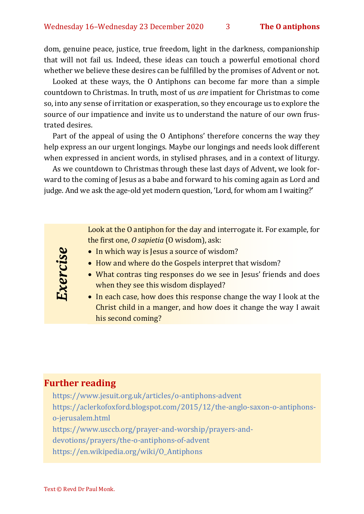dom, genuine peace, justice, true freedom, light in the darkness, companionship that will not fail us. Indeed, these ideas can touch a powerful emotional chord whether we believe these desires can be fulfilled by the promises of Advent or not.

Looked at these ways, the O Antiphons can become far more than a simple countdown to Christmas. In truth, most of us *are* impatient for Christmas to come so, into any sense of irritation or exasperation, so they encourage us to explore the source of our impatience and invite us to understand the nature of our own frustrated desires.

Part of the appeal of using the O Antiphons' therefore concerns the way they help express an our urgent longings. Maybe our longings and needs look different when expressed in ancient words, in stylised phrases, and in a context of liturgy.

As we countdown to Christmas through these last days of Advent, we look forward to the coming of Jesus as a babe and forward to his coming again as Lord and judge. And we ask the age-old yet modern question, 'Lord, for whom am I waiting?'

> Look at the O antiphon for the day and interrogate it. For example, for the first one, *O sapietia* (O wisdom), ask:

- In which way is Jesus a source of wisdom?
- How and where do the Gospels interpret that wisdom?
- What contras ting responses do we see in Jesus' friends and does when they see this wisdom displayed?
- In each case, how does this response change the way I look at the Christ child in a manger, and how does it change the way I await his second coming?

# **Further reading**

Exercise

<https://www.jesuit.org.uk/articles/o-antiphons-advent> [https://aclerkofoxford.blogspot.com/2015/12/the-anglo-saxon-o-antiphons](https://aclerkofoxford.blogspot.com/2015/12/the-anglo-saxon-o-antiphons-o-jerusalem.html)[o-jerusalem.html](https://aclerkofoxford.blogspot.com/2015/12/the-anglo-saxon-o-antiphons-o-jerusalem.html) [https://www.usccb.org/prayer-and-worship/prayers-and](https://www.usccb.org/prayer-and-worship/prayers-and-devotions/prayers/the-o-antiphons-of-advent)[devotions/prayers/the-o-antiphons-of-advent](https://www.usccb.org/prayer-and-worship/prayers-and-devotions/prayers/the-o-antiphons-of-advent) [https://en.wikipedia.org/wiki/O\\_Antiphons](https://en.wikipedia.org/wiki/O_Antiphons)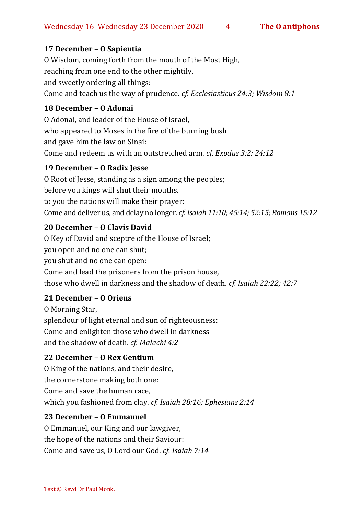# <span id="page-3-0"></span>**17 December – O Sapientia**

O Wisdom, coming forth from the mouth of the Most High, reaching from one end to the other mightily, and sweetly ordering all things: Come and teach us the way of prudence. *cf. Ecclesiasticus 24:3; Wisdom 8:1*

### **18 December – O Adonai**

O Adonai, and leader of the House of Israel, who appeared to Moses in the fire of the burning bush and gave him the law on Sinai: Come and redeem us with an outstretched arm. *cf. Exodus 3:2; 24:12*

# **19 December – O Radix Jesse**

O Root of Jesse, standing as a sign among the peoples; before you kings will shut their mouths, to you the nations will make their prayer: Come and deliver us, and delay no longer. *cf. Isaiah 11:10; 45:14; 52:15; Romans 15:12*

## **20 December – O Clavis David**

O Key of David and sceptre of the House of Israel; you open and no one can shut; you shut and no one can open: Come and lead the prisoners from the prison house, those who dwell in darkness and the shadow of death. *cf. Isaiah 22:22; 42:7*

#### **21 December – O Oriens**

O Morning Star, splendour of light eternal and sun of righteousness: Come and enlighten those who dwell in darkness and the shadow of death. *cf. Malachi 4:2*

#### **22 December – O Rex Gentium**

O King of the nations, and their desire, the cornerstone making both one: Come and save the human race, which you fashioned from clay. *cf. Isaiah 28:16; Ephesians 2:14*

#### **23 December – O Emmanuel**

O Emmanuel, our King and our lawgiver, the hope of the nations and their Saviour: Come and save us, O Lord our God. *cf. Isaiah 7:14*